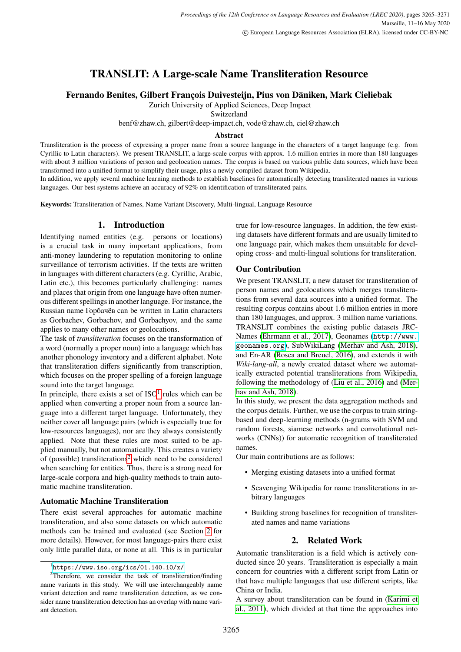# **TRANSLIT: A Large-scale Name Transliteration Resource**

**Fernando Benites, Gilbert François Duivesteijn, Pius von Däniken, Mark Cieliebak**

Zurich University of Applied Sciences, Deep Impact

Switzerland

benf@zhaw.ch, gilbert@deep-impact.ch, vode@zhaw.ch, ciel@zhaw.ch

#### **Abstract**

Transliteration is the process of expressing a proper name from a source language in the characters of a target language (e.g. from Cyrillic to Latin characters). We present TRANSLIT, a large-scale corpus with approx. 1.6 million entries in more than 180 languages with about 3 million variations of person and geolocation names. The corpus is based on various public data sources, which have been transformed into a unified format to simplify their usage, plus a newly compiled dataset from Wikipedia.

In addition, we apply several machine learning methods to establish baselines for automatically detecting transliterated names in various languages. Our best systems achieve an accuracy of 92% on identification of transliterated pairs.

**Keywords:** Transliteration of Names, Name Variant Discovery, Multi-lingual, Language Resource

### **1. Introduction**

Identifying named entities (e.g. persons or locations) is a crucial task in many important applications, from anti-money laundering to reputation monitoring to online surveillance of terrorism activities. If the texts are written in languages with different characters (e.g. Cyrillic, Arabic, Latin etc.), this becomes particularly challenging: names and places that origin from one language have often numerous different spellings in another language. For instance, the Russian name Горбачёв can be written in Latin characters as Gorbachev, Gorbachov, and Gorbachyov, and the same applies to many other names or geolocations.

The task of *transliteration* focuses on the transformation of a word (normally a proper noun) into a language which has another phonology inventory and a different alphabet. Note that transliteration differs significantly from transcription, which focuses on the proper spelling of a foreign language sound into the target language.

In principle, there exists a set of  $ISO<sup>1</sup>$  $ISO<sup>1</sup>$  $ISO<sup>1</sup>$  rules which can be applied when converting a proper noun from a source language into a different target language. Unfortunately, they neither cover all language pairs (which is especially true for low-resources languages), nor are they always consistently applied. Note that these rules are most suited to be applied manually, but not automatically. This creates a variety of (possible) transliterations<sup>[2](#page-0-1)</sup> which need to be considered when searching for entities. Thus, there is a strong need for large-scale corpora and high-quality methods to train automatic machine transliteration.

#### **Automatic Machine Transliteration**

There exist several approaches for automatic machine transliteration, and also some datasets on which automatic methods can be trained and evaluated (see Section [2](#page-0-2) for more details). However, for most language-pairs there exist only little parallel data, or none at all. This is in particular true for low-resource languages. In addition, the few existing datasets have different formats and are usually limited to one language pair, which makes them unsuitable for developing cross- and multi-lingual solutions for transliteration.

#### **Our Contribution**

We present TRANSLIT, a new dataset for transliteration of person names and geolocations which merges transliterations from several data sources into a unified format. The resulting corpus contains about 1.6 million entries in more than 180 languages, and approx. 3 million name variations. TRANSLIT combines the existing public datasets JRC-Names [\(Ehrmann et al., 2017\)](#page-5-0), Geonames ([http://www.](http://www.geonames.org) [geonames.org](http://www.geonames.org)), SubWikiLang [\(Merhav and Ash, 2018\)](#page-6-0), and En-AR [\(Rosca and Breuel, 2016\)](#page-6-1), and extends it with *Wiki-lang-all*, a newly created dataset where we automatically extracted potential transliterations from Wikipedia, following the methodology of [\(Liu et al., 2016\)](#page-5-1) and [\(Mer](#page-6-0)[hav and Ash, 2018\)](#page-6-0).

In this study, we present the data aggregation methods and the corpus details. Further, we use the corpus to train stringbased and deep-learning methods (n-grams with SVM and random forests, siamese networks and convolutional networks (CNNs)) for automatic recognition of transliterated names.

Our main contributions are as follows:

- Merging existing datasets into a unified format
- Scavenging Wikipedia for name transliterations in arbitrary languages
- Building strong baselines for recognition of transliterated names and name variations

#### **2. Related Work**

<span id="page-0-2"></span>Automatic transliteration is a field which is actively conducted since 20 years. Transliteration is especially a main concern for countries with a different script from Latin or that have multiple languages that use different scripts, like China or India.

A survey about transliteration can be found in [\(Karimi et](#page-5-2) [al., 2011\)](#page-5-2), which divided at that time the approaches into

<span id="page-0-1"></span><span id="page-0-0"></span> $1$ <https://www.iso.org/ics/01.140.10/x/>

<sup>2</sup>Therefore, we consider the task of transliteration/finding name variants in this study. We will use interchangeably name variant detection and name transliteration detection, as we consider name transliteration detection has an overlap with name variant detection.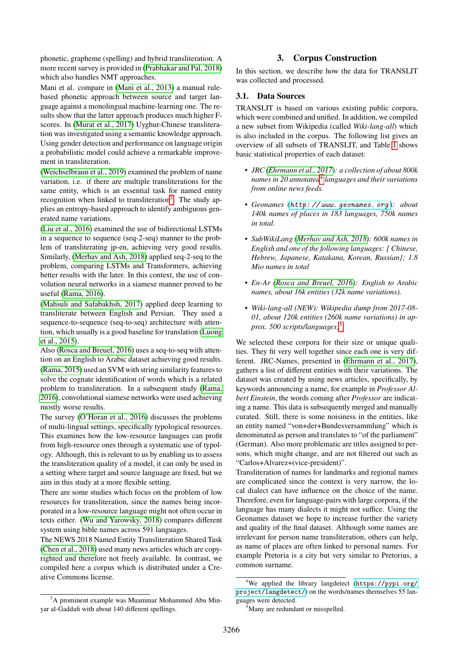phonetic, grapheme (spelling) and hybrid transliteration. A more recent survey is provided in [\(Prabhakar and Pal, 2018\)](#page-6-2) which also handles NMT approaches.

Mani et al. compare in [\(Mani et al., 2013\)](#page-5-3) a manual rulebased phonetic approach between source and target language against a monolingual machine-learning one. The results show that the latter approach produces much higher Fscores. In [\(Murat et al., 2017\)](#page-6-3) Uyghur-Chinese transliteration was investigated using a semantic knowledge approach. Using gender detection and performance on language origin a probabilistic model could achieve a remarkable improvement in transliteration.

[\(Weichselbraun et al., 2019\)](#page-6-4) examined the problem of name variation, i.e. if there are multiple transliterations for the same entity, which is an essential task for named entity recognition when linked to transliteration<sup>[3](#page-1-0)</sup>. The study applies an entropy-based approach to identify ambiguous generated name variations.

[\(Liu et al., 2016\)](#page-5-1) examined the use of bidirectional LSTMs in a sequence to sequence (seq-2-seq) manner to the problem of transliterating jp-en, achieving very good results. Similarly, [\(Merhav and Ash, 2018\)](#page-6-0) applied seq-2-seq to the problem, comparing LSTMs and Transformers, achieving better results with the later. In this context, the use of convolution neural networks in a siamese manner proved to be useful [\(Rama, 2016\)](#page-6-5).

[\(Mahsuli and Safabakhsh, 2017\)](#page-5-4) applied deep learning to transliterate between English and Persian. They used a sequence-to-sequence (seq-to-seq) architecture with attention, which usually is a good baseline for translation [\(Luong](#page-5-5) [et al., 2015\)](#page-5-5).

Also [\(Rosca and Breuel, 2016\)](#page-6-1) uses a seq-to-seq with attention on an English to Arabic dataset achieving good results. [\(Rama, 2015\)](#page-6-6) used an SVM with string similarity features to solve the cognate identification of words which is a related problem to transliteration. In a subsequent study [\(Rama,](#page-6-5) [2016\)](#page-6-5), convolutional siamese networks were used achieving mostly worse results.

The survey [\(O'Horan et al., 2016\)](#page-6-7) discusses the problems of multi-lingual settings, specifically typological resources. This examines how the low-resource languages can profit from high-resource ones through a systematic use of typology. Although, this is relevant to us by enabling us to assess the transliteration quality of a model, it can only be used in a setting where target and source language are fixed, but we aim in this study at a more flexible setting.

There are some studies which focus on the problem of low resources for transliteration, since the names being incorporated in a low-resource language might not often occur in texts either. [\(Wu and Yarowsky, 2018\)](#page-6-8) compares different system using bible names across 591 languages.

The NEWS 2018 Named Entity Transliteration Shared Task [\(Chen et al., 2018\)](#page-5-6) used many news articles which are copyrighted and therefore not freely available. In contrast, we compiled here a corpus which is distributed under a Creative Commons license.

## **3. Corpus Construction**

In this section, we describe how the data for TRANSLIT was collected and processed.

### **3.1. Data Sources**

TRANSLIT is based on various existing public corpora, which were combined and unified. In addition, we compiled a new subset from Wikipedia (called *Wiki-lang-all*) which is also included in the corpus. The following list gives an overview of all subsets of TRANSLIT, and Table [1](#page-3-0) shows basic statistical properties of each dataset:

- *JRC [\(Ehrmann et al., 2017\)](#page-5-0): a collection of about 800k names in 20 annotated*[4](#page-1-1) *languages and their variations from online news feeds.*
- *• Geonames ([http: // www. geonames. org](http://www.geonames.org) ): about 140k names of places in 183 languages, 750k names in total.*
- *• SubWikiLang [\(Merhav and Ash, 2018\)](#page-6-0): 600k names in English and one of the following languages: { Chinese, Hebrew, Japanese, Katakana, Korean, Russian}; 1.8 Mio names in total*
- *• En-Ar [\(Rosca and Breuel, 2016\)](#page-6-1): English to Arabic names, about 16k entities (32k name variations).*
- *• Wiki-lang-all (NEW): Wikipedia dump from 2017-08- 01, about 120k entities (260k name variations) in approx. 500 scripts/languages)*[5](#page-1-2)

We selected these corpora for their size or unique qualities. They fit very well together since each one is very different. JRC-Names, presented in [\(Ehrmann et al., 2017\)](#page-5-0), gathers a list of different entities with their variations. The dataset was created by using news articles, specifically, by keywords announcing a name, for example in *Professor Albert Einstein*, the words coming after *Professor* are indicating a name. This data is subsequently merged and manually curated. Still, there is some noisiness in the entities, like an entity named "von+der+Bundesversammlung" which is denominated as person and translates to "of the parliament" (German). Also more problematic are titles assigned to persons, which might change, and are not filtered out such as "Carlos+Alvarez+(vice-president)".

Transliteration of names for landmarks and regional names are complicated since the context is very narrow, the local dialect can have influence on the choice of the name. Therefore, even for language-pairs with large corpora, if the language has many dialects it might not suffice. Using the Geonames dataset we hope to increase further the variety and quality of the final dataset. Although some names are irrelevant for person name transliteration, others can help, as name of places are often linked to personal names. For example Pretoria is a city but very similar to Pretorius, a common surname.

<span id="page-1-0"></span><sup>&</sup>lt;sup>3</sup>A prominent example was Muammar Mohammed Abu Minyar al-Gaddafi with about 140 different spellings.

<span id="page-1-1"></span><sup>4</sup>We applied the library langdetect ([https://pypi.org/](https://pypi.org/project/langdetect/) [project/langdetect/](https://pypi.org/project/langdetect/)) on the words/names themselves 55 languages were detected.

<span id="page-1-2"></span><sup>&</sup>lt;sup>5</sup>Many are redundant or misspelled.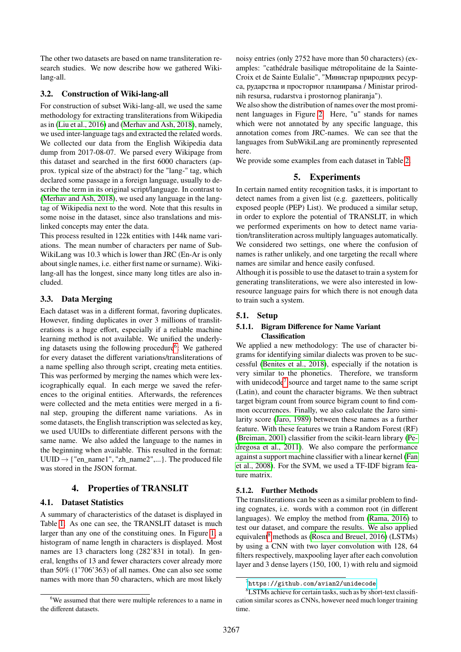The other two datasets are based on name transliteration research studies. We now describe how we gathered Wikilang-all.

### **3.2. Construction of Wiki-lang-all**

For construction of subset Wiki-lang-all, we used the same methodology for extracting transliterations from Wikipedia as in [\(Liu et al., 2016\)](#page-5-1) and [\(Merhav and Ash, 2018\)](#page-6-0), namely, we used inter-language tags and extracted the related words. We collected our data from the English Wikipedia data dump from 2017-08-07. We parsed every Wikipage from this dataset and searched in the first 6000 characters (approx. typical size of the abstract) for the "lang-" tag, which declared some passage in a foreign language, usually to describe the term in its original script/language. In contrast to [\(Merhav and Ash, 2018\)](#page-6-0), we used any language in the langtag of Wikipedia next to the word. Note that this results in some noise in the dataset, since also translations and mislinked concepts may enter the data.

This process resulted in 122k entities with 144k name variations. The mean number of characters per name of Sub-WikiLang was 10.3 which is lower than JRC (En-Ar is only about single names, i.e. either first name or surname). Wikilang-all has the longest, since many long titles are also included.

### **3.3. Data Merging**

Each dataset was in a different format, favoring duplicates. However, finding duplicates in over 3 millions of transliterations is a huge effort, especially if a reliable machine learning method is not available. We unified the underly-ing datasets using the following procedure<sup>[6](#page-2-0)</sup>: We gathered for every dataset the different variations/transliterations of a name spelling also through script, creating meta entities. This was performed by merging the names which were lexicographically equal. In each merge we saved the references to the original entities. Afterwards, the references were collected and the meta entities were merged in a final step, grouping the different name variations. As in some datasets, the English transcription was selected as key, we used UUIDs to differentiate different persons with the same name. We also added the language to the names in the beginning when available. This resulted in the format:  $UUID \rightarrow$  {"en\_name1", "zh\_name2",...}. The produced file was stored in the JSON format.

### **4. Properties of TRANSLIT**

### **4.1. Dataset Statistics**

A summary of characteristics of the dataset is displayed in Table [1.](#page-3-0) As one can see, the TRANSLIT dataset is much larger than any one of the constituing ones. In Figure [1,](#page-3-1) a histogram of name length in characters is displayed. Most names are 13 characters long (282'831 in total). In general, lengths of 13 and fewer characters cover already more than 50% (1'706'363) of all names. One can also see some names with more than 50 characters, which are most likely

noisy entries (only 2752 have more than 50 characters) (examples: "cathédrale basilique métropolitaine de la Sainte-Croix et de Sainte Eulalie", "Министар природних ресурса, рударства и просторног планирања / Ministar prirodnih resursa, rudarstva i prostornog planiranja").

We also show the distribution of names over the most prominent languages in Figure [2.](#page-4-0) Here, "u" stands for names which were not annotated by any specific language, this annotation comes from JRC-names. We can see that the languages from SubWikiLang are prominently represented here.

We provide some examples from each dataset in Table [2.](#page-3-2)

### **5. Experiments**

In certain named entity recognition tasks, it is important to detect names from a given list (e.g. gazetteers, politically exposed people (PEP) List). We produced a similar setup, in order to explore the potential of TRANSLIT, in which we performed experiments on how to detect name variation/transliteration across multiply languages automatically. We considered two settings, one where the confusion of names is rather unlikely, and one targeting the recall where names are similar and hence easily confused.

Although it is possible to use the dataset to train a system for generating transliterations, we were also interested in lowresource language pairs for which there is not enough data to train such a system.

### **5.1. Setup**

#### **5.1.1. Bigram Difference for Name Variant Classification**

We applied a new methodology: The use of character bigrams for identifying similar dialects was proven to be successful [\(Benites et al., 2018\)](#page-5-7), especially if the notation is very similar to the phonetics. Therefore, we transform with unidecode<sup>[7](#page-2-1)</sup> source and target name to the same script (Latin), and count the character bigrams. We then subtract target bigram count from source bigram count to find common occurrences. Finally, we also calculate the Jaro similarity score [\(Jaro, 1989\)](#page-5-8) between these names as a further feature. With these features we train a Random Forest (RF) [\(Breiman, 2001\)](#page-5-9) classifier from the scikit-learn library [\(Pe](#page-6-9)[dregosa et al., 2011\)](#page-6-9). We also compare the performance against a support machine classifier with a linear kernel [\(Fan](#page-5-10) [et al., 2008\)](#page-5-10). For the SVM, we used a TF-IDF bigram feature matrix.

#### **5.1.2. Further Methods**

The transliterations can be seen as a similar problem to finding cognates, i.e. words with a common root (in different languages). We employ the method from [\(Rama, 2016\)](#page-6-5) to test our dataset, and compare the results. We also applied equivalent<sup>[8](#page-2-2)</sup> methods as [\(Rosca and Breuel, 2016\)](#page-6-1) (LSTMs) by using a CNN with two layer convolution with 128, 64 filters respectively, maxpooling layer after each convolution layer and 3 dense layers (150, 100, 1) with relu and sigmoid

<span id="page-2-0"></span><sup>&</sup>lt;sup>6</sup>We assumed that there were multiple references to a name in the different datasets.

<span id="page-2-2"></span><span id="page-2-1"></span> $^{7}$ <https://github.com/avian2/unidecode>

<sup>8</sup>LSTMs achieve for certain tasks, such as by short-text classification similar scores as CNNs, however need much longer training time.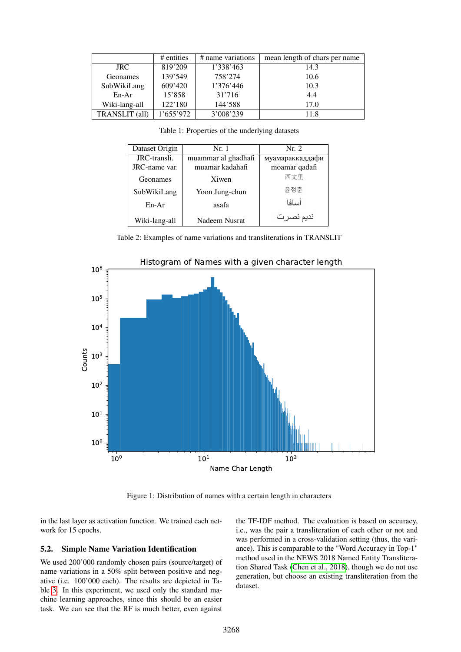|                       | # entities | # name variations | mean length of chars per name |
|-----------------------|------------|-------------------|-------------------------------|
| JRC.                  | 819'209    | 1'338'463         | 14.3                          |
| Geonames              | 139'549    | 758'274           | 10.6                          |
| SubWikiLang           | 609'420    | 1'376'446         | 10.3                          |
| $En-Ar$               | 15'858     | 31'716            | 4.4                           |
| Wiki-lang-all         | 122'180    | 144'588           | 17.0                          |
| <b>TRANSLIT</b> (all) | 1'655'972  | 3'008'239         | 11 8                          |

<span id="page-3-2"></span><span id="page-3-0"></span>Table 1: Properties of the underlying datasets

| Dataset Origin | Nr. 1               | Nr. 2           |
|----------------|---------------------|-----------------|
| JRC-transli.   | muammar al ghadhafi | муамараккаддафи |
| JRC-name var.  | muamar kadahafi     | moamar qadafi   |
| Geonames       | Xiwen               | 西文里             |
| SubWikiLang    | Yoon Jung-chun      | 유정춘             |
| $En-Ar$        | asafa               | أسافا           |
| Wiki-lang-all  | Nadeem Nusrat       | نديم نصرت       |

Table 2: Examples of name variations and transliterations in TRANSLIT



Figure 1: Distribution of names with a certain length in characters

in the last layer as activation function. We trained each network for 15 epochs.

#### **5.2. Simple Name Variation Identification**

We used 200'000 randomly chosen pairs (source/target) of name variations in a 50% split between positive and negative (i.e. 100'000 each). The results are depicted in Table [3.](#page-4-1) In this experiment, we used only the standard machine learning approaches, since this should be an easier task. We can see that the RF is much better, even against <span id="page-3-1"></span>the TF-IDF method. The evaluation is based on accuracy, i.e., was the pair a transliteration of each other or not and was performed in a cross-validation setting (thus, the variance). This is comparable to the "Word Accuracy in Top-1" method used in the NEWS 2018 Named Entity Transliteration Shared Task [\(Chen et al., 2018\)](#page-5-6), though we do not use generation, but choose an existing transliteration from the dataset.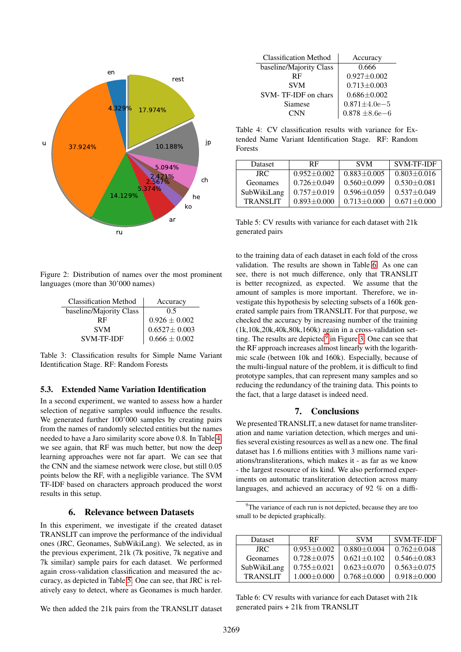

Figure 2: Distribution of names over the most prominent languages (more than 30'000 names)

<span id="page-4-0"></span>

| <b>Classification Method</b> | Accuracy                                                                              |  |
|------------------------------|---------------------------------------------------------------------------------------|--|
| baseline/Majority Class      | 0.5                                                                                   |  |
| RF                           |                                                                                       |  |
| <b>SVM</b>                   | $\begin{array}{c} 0.926 \pm 0.002 \\ 0.6527 \pm 0.003 \\ 0.666 \pm 0.002 \end{array}$ |  |
| <b>SVM-TF-IDF</b>            |                                                                                       |  |

Table 3: Classification results for Simple Name Variant Identification Stage. RF: Random Forests

#### **5.3. Extended Name Variation Identification**

In a second experiment, we wanted to assess how a harder selection of negative samples would influence the results. We generated further 100'000 samples by creating pairs from the names of randomly selected entities but the names needed to have a Jaro similarity score above 0.8. In Table [4,](#page-4-2) we see again, that RF was much better, but now the deep learning approaches were not far apart. We can see that the CNN and the siamese network were close, but still 0.05 points below the RF, with a negligible variance. The SVM TF-IDF based on characters approach produced the worst results in this setup.

#### **6. Relevance between Datasets**

In this experiment, we investigate if the created dataset TRANSLIT can improve the performance of the individual ones (JRC, Geonames, SubWikiLang). We selected, as in the previous experiment, 21k (7k positive, 7k negative and 7k similar) sample pairs for each dataset. We performed again cross-validation classification and measured the accuracy, as depicted in Table [5.](#page-4-3) One can see, that JRC is relatively easy to detect, where as Geonames is much harder.

We then added the 21k pairs from the TRANSLIT dataset

<span id="page-4-2"></span>

| <b>Classification Method</b> | Accuracy                      |  |
|------------------------------|-------------------------------|--|
| baseline/Majority Class      | 0.666                         |  |
| <b>RF</b>                    | $0.927 \pm 0.002$             |  |
| <b>SVM</b>                   | $0.713 \pm 0.003$             |  |
| SVM-TF-IDF on chars          | $0.686 \pm 0.002$             |  |
| Siamese                      | $0.871 \pm 4.0e - 5$          |  |
| CNN                          | $0.878\pm\!8.6\mathrm{e}{-6}$ |  |

Table 4: CV classification results with variance for Extended Name Variant Identification Stage. RF: Random Forests

| <b>Dataset</b>  | RF                | <b>SVM</b>        | SVM-TF-IDF        |
|-----------------|-------------------|-------------------|-------------------|
| JRC.            | $0.952 \pm 0.002$ | $0.883 \pm 0.005$ | $0.803 \pm 0.016$ |
| Geonames        | $0.726 \pm 0.049$ | $0.560 + 0.099$   | $0.530 + 0.081$   |
| SubWikiLang     | $0.757 + 0.019$   | $0.596 \pm 0.059$ | $0.537 + 0.049$   |
| <b>TRANSLIT</b> | $0.893 \pm 0.000$ | $0.713 + 0.000$   | $0.671 + 0.000$   |

<span id="page-4-3"></span>Table 5: CV results with variance for each dataset with 21k generated pairs

<span id="page-4-1"></span>to the training data of each dataset in each fold of the cross validation. The results are shown in Table [6.](#page-4-4) As one can see, there is not much difference, only that TRANSLIT is better recognized, as expected. We assume that the amount of samples is more important. Therefore, we investigate this hypothesis by selecting subsets of a 160k generated sample pairs from TRANSLIT. For that purpose, we checked the accuracy by increasing number of the training (1k,10k,20k,40k,80k,160k) again in a cross-validation setting. The results are depicted $9$  in Figure [3.](#page-5-11) One can see that the RF approach increases almost linearly with the logarithmic scale (between 10k and 160k). Especially, because of the multi-lingual nature of the problem, it is difficult to find prototype samples, that can represent many samples and so reducing the redundancy of the training data. This points to the fact, that a large dataset is indeed need.

#### **7. Conclusions**

We presented TRANSLIT, a new dataset for name transliteration and name variation detection, which merges and unifies several existing resources as well as a new one. The final dataset has 1.6 millions entities with 3 millions name variations/transliterations, which makes it - as far as we know - the largest resource of its kind. We also performed experiments on automatic transliteration detection across many languages, and achieved an accuracy of 92 % on a diffi-

<span id="page-4-5"></span><sup>9</sup>The variance of each run is not depicted, because they are too small to be depicted graphically.

| <b>Dataset</b>  | <b>RF</b>         | <b>SVM</b>        | <b>SVM-TF-IDF</b> |
|-----------------|-------------------|-------------------|-------------------|
| JRC.            | $0.953 + 0.002$   | $0.880 \pm 0.004$ | $0.762 \pm 0.048$ |
| Geonames        | $0.728 + 0.075$   | $0.621 \pm 0.102$ | $0.546 \pm 0.083$ |
| SubWikiLang     | $0.755 \pm 0.021$ | $0.623 \pm 0.070$ | $0.563 + 0.075$   |
| <b>TRANSLIT</b> | $1.000 + 0.000$   | $0.768 + 0.000$   | $0.918 + 0.000$   |

<span id="page-4-4"></span>Table 6: CV results with variance for each Dataset with 21k generated pairs + 21k from TRANSLIT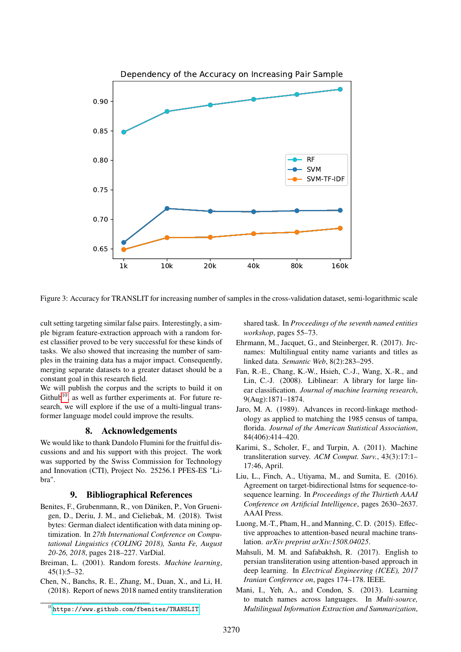

Figure 3: Accuracy for TRANSLIT for increasing number of samples in the cross-validation dataset, semi-logarithmic scale

1k 10k 20k 40k 80k 160k<br>
1k 10k 20k 40k 80k 160k<br>
AANSLIT for increasing number of samples in the cross-validation dataset,<br>
ar false pairs. Interestingly, a simmand material interesting of the<br>
tion approach with a rando cult setting targeting similar false pairs. Interestingly, a simple bigram feature-extraction approach with a random forest classifier proved to be very successful for these kinds of tasks. We also showed that increasing the number of samples in the training data has a major impact. Consequently, merging separate datasets to a greater dataset should be a constant goal in this research field.

We will publish the corpus and the scripts to build it on  $Github<sup>10</sup>$  $Github<sup>10</sup>$  $Github<sup>10</sup>$ , as well as further experiments at. For future research, we will explore if the use of a multi-lingual transformer language model could improve the results.

### **8. Acknowledgements**

We would like to thank Dandolo Flumini for the fruitful discussions and and his support with this project. The work was supported by the Swiss Commission for Technology and Innovation (CTI), Project No. 25256.1 PFES-ES "Libra".

### **9. Bibliographical References**

- <span id="page-5-7"></span>Benites, F., Grubenmann, R., von Däniken, P., Von Gruenigen, D., Deriu, J. M., and Cieliebak, M. (2018). Twist bytes: German dialect identification with data mining optimization. In *27th International Conference on Computational Linguistics (COLING 2018), Santa Fe, August 20-26, 2018*, pages 218–227. VarDial.
- <span id="page-5-9"></span>Breiman, L. (2001). Random forests. *Machine learning*, 45(1):5–32.
- <span id="page-5-6"></span>Chen, N., Banchs, R. E., Zhang, M., Duan, X., and Li, H. (2018). Report of news 2018 named entity transliteration

<span id="page-5-11"></span>shared task. In *Proceedings of the seventh named entities workshop*, pages 55–73.

- <span id="page-5-0"></span>Ehrmann, M., Jacquet, G., and Steinberger, R. (2017). Jrcnames: Multilingual entity name variants and titles as linked data. *Semantic Web*, 8(2):283–295.
- <span id="page-5-10"></span>Fan, R.-E., Chang, K.-W., Hsieh, C.-J., Wang, X.-R., and Lin, C.-J. (2008). Liblinear: A library for large linear classification. *Journal of machine learning research*, 9(Aug):1871–1874.
- <span id="page-5-8"></span>Jaro, M. A. (1989). Advances in record-linkage methodology as applied to matching the 1985 census of tampa, florida. *Journal of the American Statistical Association*, 84(406):414–420.
- <span id="page-5-2"></span>Karimi, S., Scholer, F., and Turpin, A. (2011). Machine transliteration survey. *ACM Comput. Surv.*, 43(3):17:1– 17:46, April.
- <span id="page-5-1"></span>Liu, L., Finch, A., Utiyama, M., and Sumita, E. (2016). Agreement on target-bidirectional lstms for sequence-tosequence learning. In *Proceedings of the Thirtieth AAAI Conference on Artificial Intelligence*, pages 2630–2637. AAAI Press.
- <span id="page-5-5"></span>Luong, M.-T., Pham, H., and Manning, C. D. (2015). Effective approaches to attention-based neural machine translation. *arXiv preprint arXiv:1508.04025*.
- <span id="page-5-4"></span>Mahsuli, M. M. and Safabakhsh, R. (2017). English to persian transliteration using attention-based approach in deep learning. In *Electrical Engineering (ICEE), 2017 Iranian Conference on*, pages 174–178. IEEE.
- <span id="page-5-3"></span>Mani, I., Yeh, A., and Condon, S. (2013). Learning to match names across languages. In *Multi-source, Multilingual Information Extraction and Summarization*,

<span id="page-5-12"></span><sup>10</sup><https://www.github.com/fbenites/TRANSLIT>